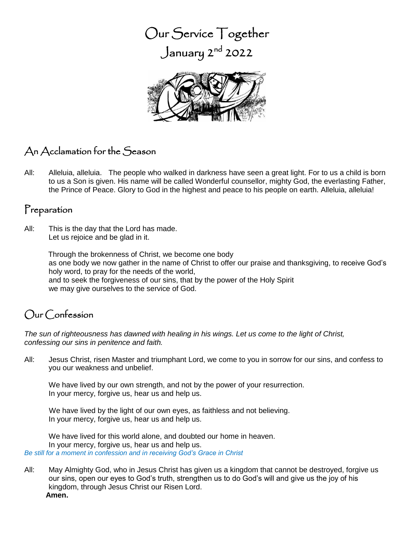Our Service Together January 2nd 2022



## An Acclamation for the Season

All: Alleluia, alleluia. The people who walked in darkness have seen a great light. For to us a child is born to us a Son is given. His name will be called Wonderful counsellor, mighty God, the everlasting Father, the Prince of Peace. Glory to God in the highest and peace to his people on earth. Alleluia, alleluia!

### Preparation

All: This is the day that the Lord has made. Let us rejoice and be glad in it.

> Through the brokenness of Christ, we become one body as one body we now gather in the name of Christ to offer our praise and thanksgiving, to receive God's holy word, to pray for the needs of the world, and to seek the forgiveness of our sins, that by the power of the Holy Spirit we may give ourselves to the service of God.

## Our Confession

*The sun of righteousness has dawned with healing in his wings. Let us come to the light of Christ, confessing our sins in penitence and faith.*

All: Jesus Christ, risen Master and triumphant Lord, we come to you in sorrow for our sins, and confess to you our weakness and unbelief.

We have lived by our own strength, and not by the power of your resurrection. In your mercy, forgive us, hear us and help us.

We have lived by the light of our own eyes, as faithless and not believing. In your mercy, forgive us, hear us and help us.

We have lived for this world alone, and doubted our home in heaven. In your mercy, forgive us, hear us and help us. *Be still for a moment in confession and in receiving God's Grace in Christ*

All: May Almighty God, who in Jesus Christ has given us a kingdom that cannot be destroyed, forgive us our sins, open our eyes to God's truth, strengthen us to do God's will and give us the joy of his kingdom, through Jesus Christ our Risen Lord.  **Amen.**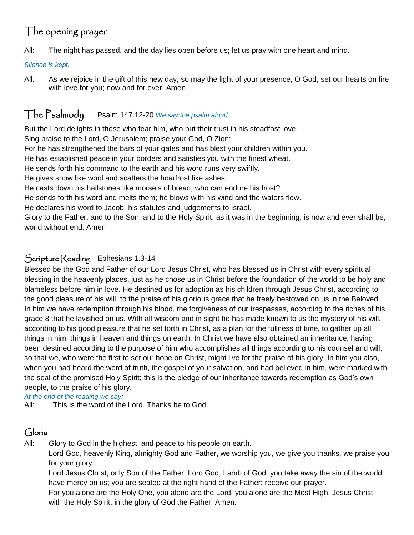## The opening prayer

All: The night has passed, and the day lies open before us; let us pray with one heart and mind.

*Silence is kept.*

All: As we rejoice in the gift of this new day, so may the light of your presence, O God, set our hearts on fire with love for you; now and for ever. Amen.

# The Psalmody Psalm 147.12-20 *We say the psalm aloud*

But the Lord delights in those who fear him, who put their trust in his steadfast love.

Sing praise to the Lord, O Jerusalem; praise your God, O Zion;

For he has strengthened the bars of your gates and has blest your children within you.

He has established peace in your borders and satisfies you with the finest wheat.

He sends forth his command to the earth and his word runs very swiftly.

He gives snow like wool and scatters the hoarfrost like ashes.

He casts down his hailstones like morsels of bread; who can endure his frost?

He sends forth his word and melts them; he blows with his wind and the waters flow.

He declares his word to Jacob, his statutes and judgements to Israel.

Glory to the Father, and to the Son, and to the Holy Spirit, as it was in the beginning, is now and ever shall be, world without end. Amen

### Scripture Reading Ephesians 1.3-14

Blessed be the God and Father of our Lord Jesus Christ, who has blessed us in Christ with every spiritual blessing in the heavenly places, just as he chose us in Christ before the foundation of the world to be holy and blameless before him in love. He destined us for adoption as his children through Jesus Christ, according to the good pleasure of his will, to the praise of his glorious grace that he freely bestowed on us in the Beloved. In him we have redemption through his blood, the forgiveness of our trespasses, according to the riches of his grace 8 that he lavished on us. With all wisdom and in sight he has made known to us the mystery of his will, according to his good pleasure that he set forth in Christ, as a plan for the fullness of time, to gather up all things in him, things in heaven and things on earth. In Christ we have also obtained an inheritance, having been destined according to the purpose of him who accomplishes all things according to his counsel and will, so that we, who were the first to set our hope on Christ, might live for the praise of his glory. In him you also, when you had heard the word of truth, the gospel of your salvation, and had believed in him, were marked with the seal of the promised Holy Spirit; this is the pledge of our inheritance towards redemption as God's own people, to the praise of his glory.

*At the end of the reading we say:*

All: This is the word of the Lord. Thanks be to God.

## Gloria

All: Glory to God in the highest, and peace to his people on earth.

Lord God, heavenly King, almighty God and Father, we worship you, we give you thanks, we praise you for your glory.

Lord Jesus Christ, only Son of the Father, Lord God, Lamb of God, you take away the sin of the world: have mercy on us; you are seated at the right hand of the Father: receive our prayer.

For you alone are the Holy One, you alone are the Lord, you alone are the Most High, Jesus Christ, with the Holy Spirit, in the glory of God the Father. Amen.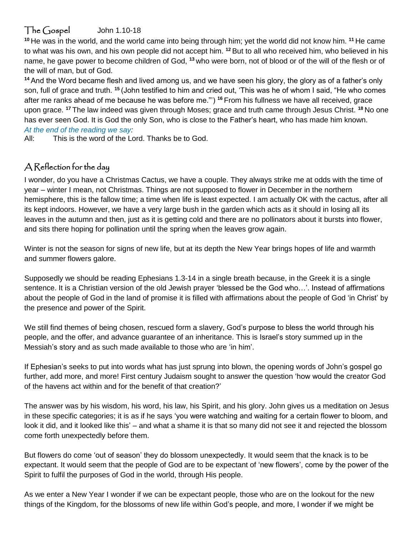#### The Gospel John 1.10-18

**<sup>10</sup>** He was in the world, and the world came into being through him; yet the world did not know him. **<sup>11</sup>** He came to what was his own, and his own people did not accept him. **<sup>12</sup>** But to all who received him, who believed in his name, he gave power to become children of God, **<sup>13</sup>** who were born, not of blood or of the will of the flesh or of the will of man, but of God.

**<sup>14</sup>** And the Word became flesh and lived among us, and we have seen his glory, the glory as of a father's only son, full of grace and truth. **<sup>15</sup>** (John testified to him and cried out, 'This was he of whom I said, "He who comes after me ranks ahead of me because he was before me."') **<sup>16</sup>** From his fullness we have all received, grace upon grace. **<sup>17</sup>** The law indeed was given through Moses; grace and truth came through Jesus Christ. **<sup>18</sup>** No one has ever seen God. It is God the only Son, who is close to the Father's heart, who has made him known. *At the end of the reading we say:*

All: This is the word of the Lord. Thanks be to God.

### A Reflection for the day

I wonder, do you have a Christmas Cactus, we have a couple. They always strike me at odds with the time of year – winter I mean, not Christmas. Things are not supposed to flower in December in the northern hemisphere, this is the fallow time; a time when life is least expected. I am actually OK with the cactus, after all its kept indoors. However, we have a very large bush in the garden which acts as it should in losing all its leaves in the autumn and then, just as it is getting cold and there are no pollinators about it bursts into flower, and sits there hoping for pollination until the spring when the leaves grow again.

Winter is not the season for signs of new life, but at its depth the New Year brings hopes of life and warmth and summer flowers galore.

Supposedly we should be reading Ephesians 1.3-14 in a single breath because, in the Greek it is a single sentence. It is a Christian version of the old Jewish prayer 'blessed be the God who…'. Instead of affirmations about the people of God in the land of promise it is filled with affirmations about the people of God 'in Christ' by the presence and power of the Spirit.

We still find themes of being chosen, rescued form a slavery, God's purpose to bless the world through his people, and the offer, and advance guarantee of an inheritance. This is Israel's story summed up in the Messiah's story and as such made available to those who are 'in him'.

If Ephesian's seeks to put into words what has just sprung into blown, the opening words of John's gospel go further, add more, and more! First century Judaism sought to answer the question 'how would the creator God of the havens act within and for the benefit of that creation?'

The answer was by his wisdom, his word, his law, his Spirit, and his glory. John gives us a meditation on Jesus in these specific categories; it is as if he says 'you were watching and waiting for a certain flower to bloom, and look it did, and it looked like this' – and what a shame it is that so many did not see it and rejected the blossom come forth unexpectedly before them.

But flowers do come 'out of season' they do blossom unexpectedly. It would seem that the knack is to be expectant. It would seem that the people of God are to be expectant of 'new flowers', come by the power of the Spirit to fulfil the purposes of God in the world, through His people.

As we enter a New Year I wonder if we can be expectant people, those who are on the lookout for the new things of the Kingdom, for the blossoms of new life within God's people, and more, I wonder if we might be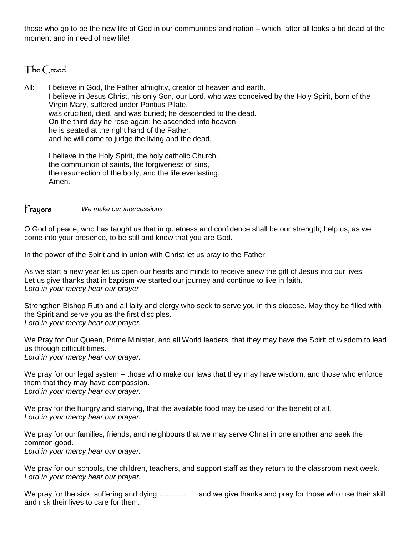those who go to be the new life of God in our communities and nation – which, after all looks a bit dead at the moment and in need of new life!

### The Creed

All: I believe in God, the Father almighty, creator of heaven and earth. I believe in Jesus Christ, his only Son, our Lord, who was conceived by the Holy Spirit, born of the Virgin Mary, suffered under Pontius Pilate, was crucified, died, and was buried; he descended to the dead. On the third day he rose again; he ascended into heaven, he is seated at the right hand of the Father, and he will come to judge the living and the dead.

I believe in the Holy Spirit, the holy catholic Church, the communion of saints, the forgiveness of sins, the resurrection of the body, and the life everlasting. Amen.

#### Prayers *We make our intercessions*

O God of peace, who has taught us that in quietness and confidence shall be our strength; help us, as we come into your presence, to be still and know that you are God.

In the power of the Spirit and in union with Christ let us pray to the Father.

As we start a new year let us open our hearts and minds to receive anew the gift of Jesus into our lives. Let us give thanks that in baptism we started our journey and continue to live in faith. *Lord in your mercy hear our prayer*

Strengthen Bishop Ruth and all laity and clergy who seek to serve you in this diocese. May they be filled with the Spirit and serve you as the first disciples. *Lord in your mercy hear our prayer.*

We Pray for Our Queen, Prime Minister, and all World leaders, that they may have the Spirit of wisdom to lead us through difficult times. *Lord in your mercy hear our prayer.* 

We pray for our legal system – those who make our laws that they may have wisdom, and those who enforce them that they may have compassion. *Lord in your mercy hear our prayer.*

We pray for the hungry and starving, that the available food may be used for the benefit of all. *Lord in your mercy hear our prayer.*

We pray for our families, friends, and neighbours that we may serve Christ in one another and seek the common good. *Lord in your mercy hear our prayer.*

We pray for our schools, the children, teachers, and support staff as they return to the classroom next week. *Lord in your mercy hear our prayer.*

We pray for the sick, suffering and dying ........... and we give thanks and pray for those who use their skill and risk their lives to care for them.